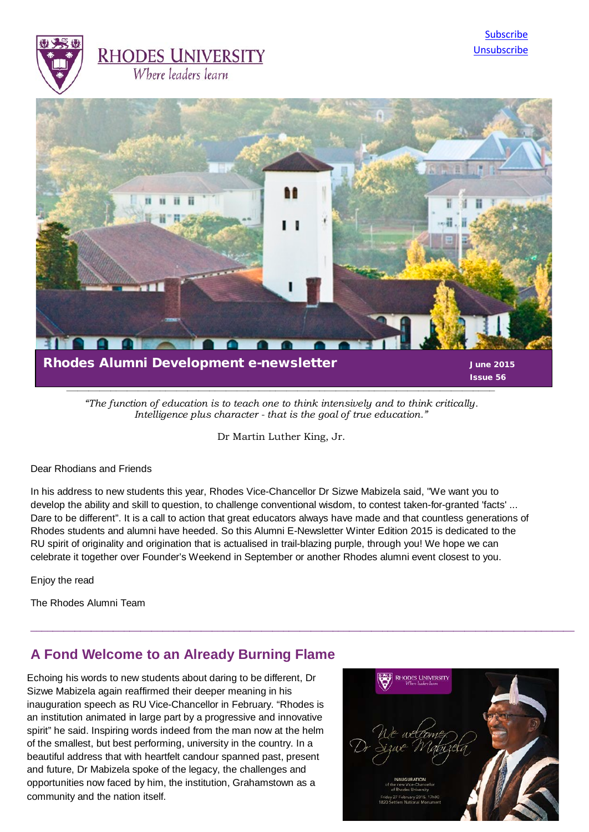



*"The function of education is to teach one to think intensively and to think critically. Intelligence plus character - that is the goal of true education."*

*\_\_\_\_\_\_\_\_\_\_\_\_\_\_\_\_\_\_\_\_\_\_\_\_\_\_\_\_\_\_\_\_\_\_\_\_\_\_\_\_\_\_\_\_\_\_\_\_\_\_\_\_\_\_\_\_\_\_\_\_\_\_\_\_\_\_\_\_\_\_\_\_\_\_\_\_\_\_*

Dr [Martin Luther King, Jr.](http://www.brainyquote.com/quotes/authors/m/martin_luther_king_jr.html) 

#### Dear Rhodians and Friends

In his address to new students this year, Rhodes Vice-Chancellor Dr Sizwe Mabizela said, "We want you to develop the ability and skill to question, to challenge conventional wisdom, to contest taken-for-granted 'facts' ... Dare to be different". It is a call to action that great educators always have made and that countless generations of Rhodes students and alumni have heeded. So this Alumni E-Newsletter Winter Edition 2015 is dedicated to the RU spirit of originality and origination that is actualised in trail-blazing purple, through you! We hope we can celebrate it together over Founder's Weekend in September or another Rhodes alumni event closest to you.

 $\_$  ,  $\_$  ,  $\_$  ,  $\_$  ,  $\_$  ,  $\_$  ,  $\_$  ,  $\_$  ,  $\_$  ,  $\_$  ,  $\_$  ,  $\_$  ,  $\_$  ,  $\_$  ,  $\_$  ,  $\_$  ,  $\_$  ,  $\_$  ,  $\_$  ,  $\_$  ,  $\_$  ,  $\_$  ,  $\_$  ,  $\_$  ,  $\_$  ,  $\_$  ,  $\_$  ,  $\_$  ,  $\_$  ,  $\_$  ,  $\_$  ,  $\_$  ,  $\_$  ,  $\_$  ,  $\_$  ,  $\_$  ,  $\_$  ,

Enjoy the read

The Rhodes Alumni Team

## **A Fond Welcome to an Already Burning Flame**

Echoing his words to new students about daring to be different, Dr Sizwe Mabizela again reaffirmed their deeper meaning in his inauguration speech as RU Vice-Chancellor in February. "Rhodes is an institution animated in large part by a progressive and innovative spirit" he said. Inspiring words indeed from the man now at the helm of the smallest, but best performing, university in the country. In a beautiful address that with heartfelt candour spanned past, present and future, Dr Mabizela spoke of the legacy, the challenges and opportunities now faced by him, the institution, Grahamstown as a community and the nation itself.

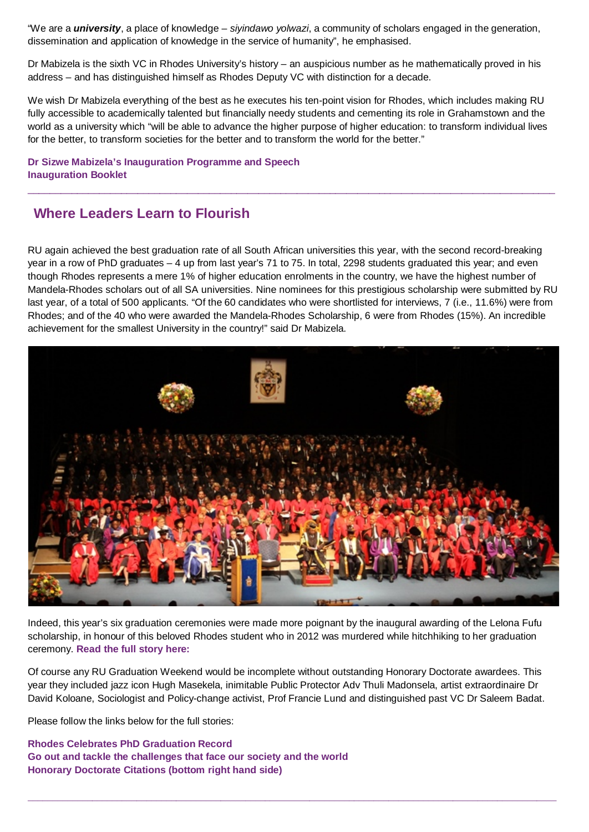"We are a *university*, a place of knowledge – *siyindawo yolwazi*, a community of scholars engaged in the generation, dissemination and application of knowledge in the service of humanity", he emphasised.

Dr Mabizela is the sixth VC in Rhodes University's history – an auspicious number as he mathematically proved in his address – and has distinguished himself as Rhodes Deputy VC with distinction for a decade.

We wish Dr Mabizela everything of the best as he executes his ten-point vision for Rhodes, which includes making RU fully accessible to academically talented but financially needy students and cementing its role in Grahamstown and the world as a university which "will be able to advance the higher purpose of higher education: to transform individual lives for the better, to transform societies for the better and to transform the world for the better."

\_\_\_\_\_\_\_\_\_\_\_\_\_\_\_\_\_\_\_\_\_\_\_\_\_\_\_\_\_\_\_\_\_\_\_\_\_\_\_\_\_\_\_\_\_\_\_\_\_\_\_\_\_\_\_\_\_\_\_\_\_\_\_\_\_\_\_\_\_\_\_\_\_\_\_\_\_\_\_\_\_\_\_\_\_\_\_\_\_\_\_\_\_\_\_\_

**[Dr Sizwe Mabizela's Inauguration Programme and Speech](http://www.ru.ac.za/media/rhodesuniversity/content/alumni/documents/Dr%20Sizwe%20Mabizela%27s%20Inauguration.pdf) [Inauguration Booklet](http://www.ru.ac.za/media/rhodesuniversity/content/alumni/documents/Inauguration%20booklet_final_smaller.pdf)**

## **Where Leaders Learn to Flourish**

RU again achieved the best graduation rate of all South African universities this year, with the second record-breaking year in a row of PhD graduates – 4 up from last year's 71 to 75. In total, 2298 students graduated this year; and even though Rhodes represents a mere 1% of higher education enrolments in the country, we have the highest number of Mandela-Rhodes scholars out of all SA universities. Nine nominees for this prestigious scholarship were submitted by RU last year, of a total of 500 applicants. "Of the 60 candidates who were shortlisted for interviews, 7 (i.e., 11.6%) were from Rhodes; and of the 40 who were awarded the Mandela-Rhodes Scholarship, 6 were from Rhodes (15%). An incredible achievement for the smallest University in the country!" said Dr Mabizela.



Indeed, this year's six graduation ceremonies were made more poignant by the inaugural awarding of the Lelona Fufu scholarship, in honour of this beloved Rhodes student who in 2012 was murdered while hitchhiking to her graduation ceremony. **[Read the full story here:](http://www.ru.ac.za/news/latestnews/scholarshipinhonourofmurderedstudent-1.html)** 

Of course any RU Graduation Weekend would be incomplete without outstanding Honorary Doctorate awardees. This year they included jazz icon Hugh Masekela, inimitable Public Protector Adv Thuli Madonsela, artist extraordinaire Dr David Koloane, Sociologist and Policy-change activist, Prof Francie Lund and distinguished past VC Dr Saleem Badat.

**\_\_\_\_\_\_\_\_\_\_\_\_\_\_\_\_\_\_\_\_\_\_\_\_\_\_\_\_\_\_\_\_\_\_\_\_\_\_\_\_\_\_\_\_\_\_\_\_\_\_\_\_\_\_\_\_\_\_\_\_\_\_\_\_\_\_\_\_\_\_\_\_\_\_\_\_\_\_\_\_\_\_\_\_\_\_\_\_\_\_\_\_\_\_\_\_\_\_\_\_\_\_\_\_\_\_\_**

Please follow the links below for the full stories:

**[Rhodes Celebrates PhD Graduation Record](http://www.ru.ac.za/news/latestnews/rhodescelebratesphdgraduationrecord-1.html) [Go out and tackle the challenges that face our society and the world](http://www.ru.ac.za/news/latestnews/gooutandtacklethechallengesthatfaceoursocietyandtheworld-1.html) [Honorary Doctorate Citations](http://www.ru.ac.za/alumni) (bottom right hand side)**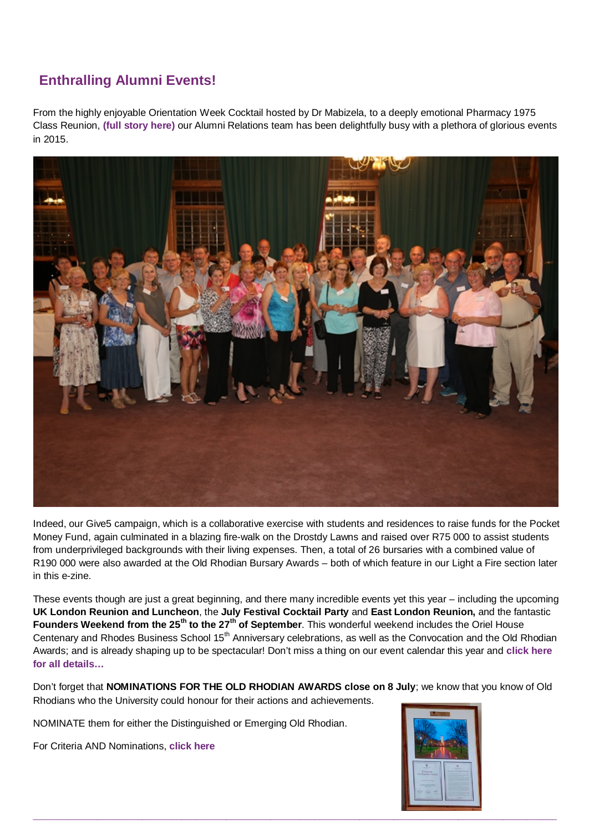# **Enthralling Alumni Events! Enthralling Alumni Events!**

From the highly enjoyable Orientation Week Cocktail hosted by Dr Mabizela, to a deeply emotional Pharmacy 1975 Class Reunion, **[\(full story here\)](http://www.ru.ac.za/alumni/alumnirelations/events/pharmacy1975classreunion/)** our Alumni Relations team has been delightfully busy with a plethora of glorious events in 2015.



Indeed, our Give5 campaign, which is a collaborative exercise with students and residences to raise funds for the Pocket Money Fund, again culminated in a blazing fire-walk on the Drostdy Lawns and raised over R75 000 to assist students from underprivileged backgrounds with their living expenses. Then, a total of 26 bursaries with a combined value of R190 000 were also awarded at the Old Rhodian Bursary Awards – both of which feature in our Light a Fire section later in this e-zine.

These events though are just a great beginning, and there many incredible events yet this year – including the upcoming **UK London Reunion and Luncheon**, the **July Festival Cocktail Party** and **East London Reunion,** and the fantastic **Founders Weekend from the 25th to the 27th of September**. This wonderful weekend includes the Oriel House Centenary and Rhodes Business School 15<sup>th</sup> Anniversary celebrations, as well as the Convocation and the Old Rhodian Awards; and is already shaping up to be spectacular! Don't miss a thing on our event calendar this year and **[click here](https://www.ru.ac.za/alumni/alumnirelations/events/events2015/)  [for all details…](https://www.ru.ac.za/alumni/alumnirelations/events/events2015/)**

Don't forget that **NOMINATIONS FOR THE OLD RHODIAN AWARDS close on 8 July**; we know that you know of Old Rhodians who the University could honour for their actions and achievements.

NOMINATE them for either the Distinguished or Emerging Old Rhodian.

For Criteria AND Nominations, **[click here](http://www.ru.ac.za/alumni/alumnirelations/oldrhodianunion/oldrhodianawards/)**

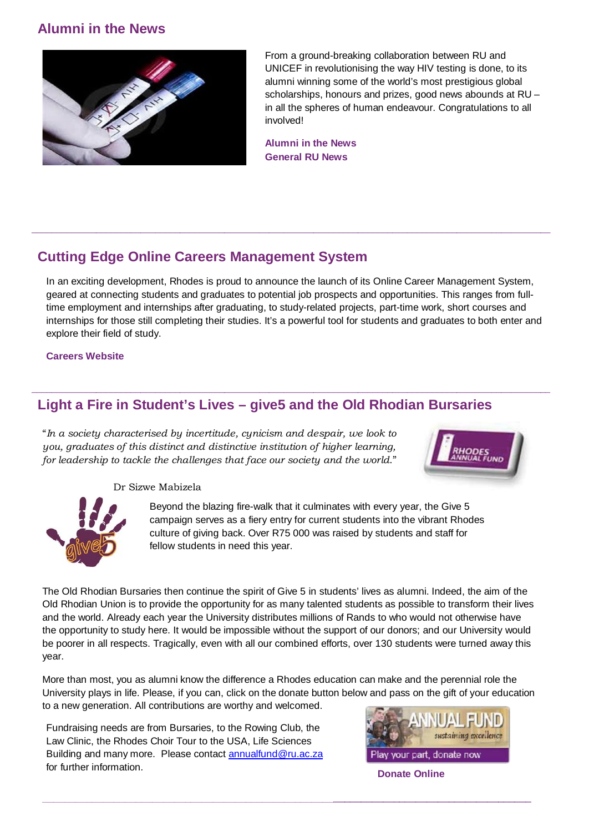## **Alumni in the News**



From a ground-breaking collaboration between RU and UNICEF in revolutionising the way HIV testing is done, to its alumni winning some of the world's most prestigious global scholarships, honours and prizes, good news abounds at RU – in all the spheres of human endeavour. Congratulations to all involved!

**[Alumni in the News](http://www.ru.ac.za/alumni/alumnirelations/news/alumniinthenews/) [General RU News](http://www.ru.ac.za/news/)**

## **Cutting Edge Online Careers Management System**

In an exciting development, Rhodes is proud to announce the launch of its Online Career Management System, geared at connecting students and graduates to potential job prospects and opportunities. This ranges from fulltime employment and internships after graduating, to study-related projects, part-time work, short courses and internships for those still completing their studies. It's a powerful tool for students and graduates to both enter and explore their field of study.

**\_\_\_\_\_\_\_\_\_\_\_\_\_\_\_\_\_\_\_\_\_\_\_\_\_\_\_\_\_\_\_\_\_\_\_\_\_\_\_\_\_\_\_\_\_\_\_\_\_\_\_\_\_\_\_\_\_\_\_\_\_\_\_\_\_\_\_\_\_\_\_\_\_\_\_\_\_\_\_\_\_\_\_\_\_\_\_\_\_\_\_\_\_\_\_\_\_\_\_\_\_\_\_\_\_**

**\_\_\_\_\_\_\_\_\_\_\_\_\_\_\_\_\_\_\_\_\_\_\_\_\_\_\_\_\_\_\_\_\_\_\_\_\_\_\_\_\_\_\_\_\_\_\_\_\_\_\_\_\_\_\_\_\_\_\_\_\_\_\_\_\_\_\_\_\_\_\_\_\_\_\_\_\_\_\_\_\_\_\_\_\_\_\_\_\_\_\_\_\_\_\_\_\_\_\_\_\_\_\_\_\_** 

#### **[Careers Website](http://www.rhd.prospects.ac.uk/casa/servlet/casa.jobseeker.JSVacServlet?mode=menu)**

## **Light a Fire in Student's Lives – give5 and the Old Rhodian Bursaries**

"*In a society characterised by incertitude, cynicism and despair, we look to you, graduates of this distinct and distinctive institution of higher learning, for leadership to tackle the challenges that face our society and the world*."



Dr Sizwe Mabizela



Beyond the blazing fire-walk that it culminates with every year, the Give 5 campaign serves as a fiery entry for current students into the vibrant Rhodes culture of giving back. Over R75 000 was raised by students and staff for fellow students in need this year.

The Old Rhodian Bursaries then continue the spirit of Give 5 in students' lives as alumni. Indeed, the aim of the Old Rhodian Union is to provide the opportunity for as many talented students as possible to transform their lives and the world. Already each year the University distributes millions of Rands to who would not otherwise have the opportunity to study here. It would be impossible without the support of our donors; and our University would be poorer in all respects. Tragically, even with all our combined efforts, over 130 students were turned away this year.

More than most, you as alumni know the difference a Rhodes education can make and the perennial role the University plays in life. Please, if you can, click on the donate button below and pass on the gift of your education to a new generation. All contributions are worthy and welcomed.

 $\_$ 

Fundraising needs are from Bursaries, to the Rowing Club, the Law Clinic, the Rhodes Choir Tour to the USA, Life Sciences Building and many more. Please contact [annualfund@ru.ac.za](mailto:annualfund@ru.ac.za) for further information.



**[Donate Online](https://www.ru.ac.za/media/rhodesuniversity/resources/donate/annualfund/donate.php)**